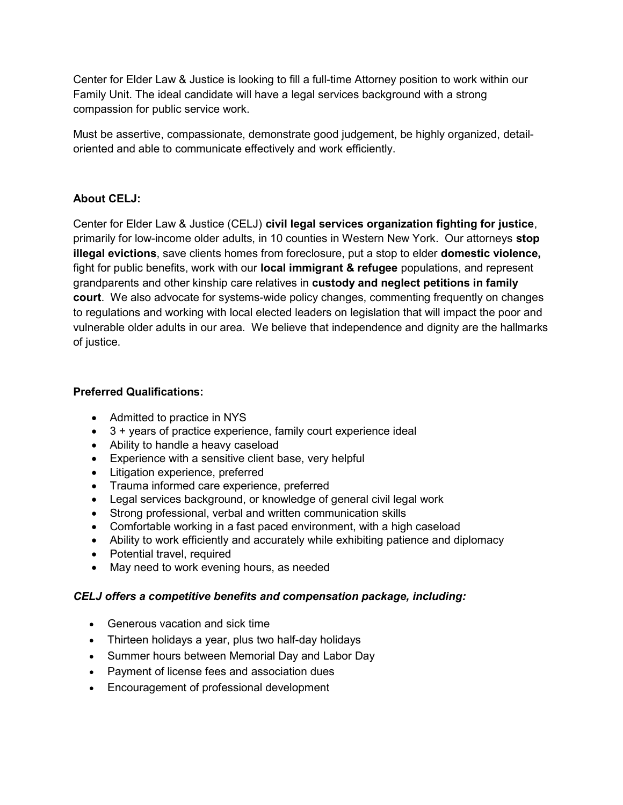Center for Elder Law & Justice is looking to fill a full-time Attorney position to work within our Family Unit. The ideal candidate will have a legal services background with a strong compassion for public service work.

Must be assertive, compassionate, demonstrate good judgement, be highly organized, detailoriented and able to communicate effectively and work efficiently.

## About CELJ:

Center for Elder Law & Justice (CELJ) civil legal services organization fighting for justice, primarily for low-income older adults, in 10 counties in Western New York. Our attorneys stop illegal evictions, save clients homes from foreclosure, put a stop to elder domestic violence, fight for public benefits, work with our **local immigrant & refugee** populations, and represent grandparents and other kinship care relatives in custody and neglect petitions in family court. We also advocate for systems-wide policy changes, commenting frequently on changes to regulations and working with local elected leaders on legislation that will impact the poor and vulnerable older adults in our area. We believe that independence and dignity are the hallmarks of justice.

## Preferred Qualifications:

- Admitted to practice in NYS
- 3 + years of practice experience, family court experience ideal
- Ability to handle a heavy caseload
- Experience with a sensitive client base, very helpful
- Litigation experience, preferred
- Trauma informed care experience, preferred
- Legal services background, or knowledge of general civil legal work
- Strong professional, verbal and written communication skills
- Comfortable working in a fast paced environment, with a high caseload
- Ability to work efficiently and accurately while exhibiting patience and diplomacy
- Potential travel, required
- May need to work evening hours, as needed

## CELJ offers a competitive benefits and compensation package, including:

- Generous vacation and sick time
- Thirteen holidays a year, plus two half-day holidays
- Summer hours between Memorial Day and Labor Day
- Payment of license fees and association dues
- Encouragement of professional development